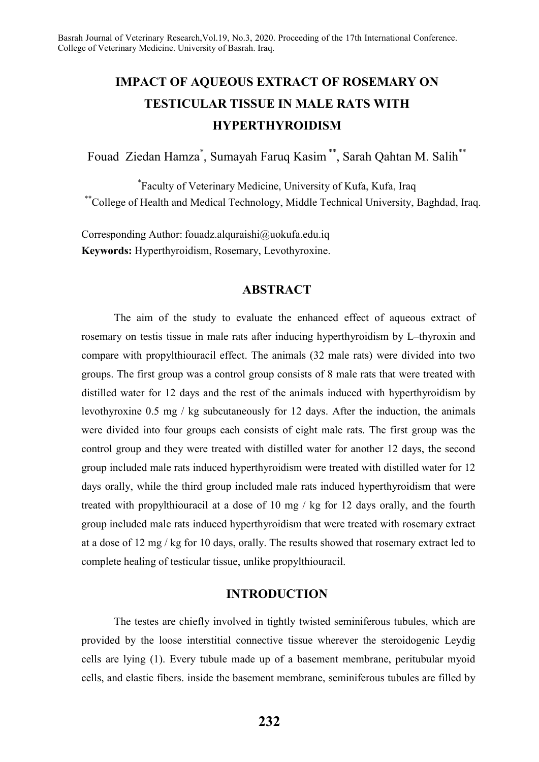# **IMPACT OF AQUEOUS EXTRACT OF ROSEMARY ON TESTICULAR TISSUE IN MALE RATS WITH HYPERTHYROIDISM**

Fouad Ziedan Hamza\* , Sumayah Faruq Kasim \*\*, Sarah Qahtan M. Salih\*\*

\* Faculty of Veterinary Medicine, University of Kufa, Kufa, Iraq \*\*College of Health and Medical Technology, Middle Technical University, Baghdad, Iraq.

Corresponding Author: fouadz.alquraishi@uokufa.edu.iq **Keywords:** Hyperthyroidism, Rosemary, Levothyroxine.

## **ABSTRACT**

The aim of the study to evaluate the enhanced effect of aqueous extract of rosemary on testis tissue in male rats after inducing hyperthyroidism by L–thyroxin and compare with propylthiouracil effect. The animals (32 male rats) were divided into two groups. The first group was a control group consists of 8 male rats that were treated with distilled water for 12 days and the rest of the animals induced with hyperthyroidism by levothyroxine 0.5 mg / kg subcutaneously for 12 days. After the induction, the animals were divided into four groups each consists of eight male rats. The first group was the control group and they were treated with distilled water for another 12 days, the second group included male rats induced hyperthyroidism were treated with distilled water for 12 days orally, while the third group included male rats induced hyperthyroidism that were treated with propylthiouracil at a dose of 10 mg / kg for 12 days orally, and the fourth group included male rats induced hyperthyroidism that were treated with rosemary extract at a dose of 12 mg / kg for 10 days, orally. The results showed that rosemary extract led to complete healing of testicular tissue, unlike propylthiouracil.

## **INTRODUCTION**

The testes are chiefly involved in tightly twisted seminiferous tubules, which are provided by the loose interstitial connective tissue wherever the steroidogenic Leydig cells are lying (1). Every tubule made up of a basement membrane, peritubular myoid cells, and elastic fibers. inside the basement membrane, seminiferous tubules are filled by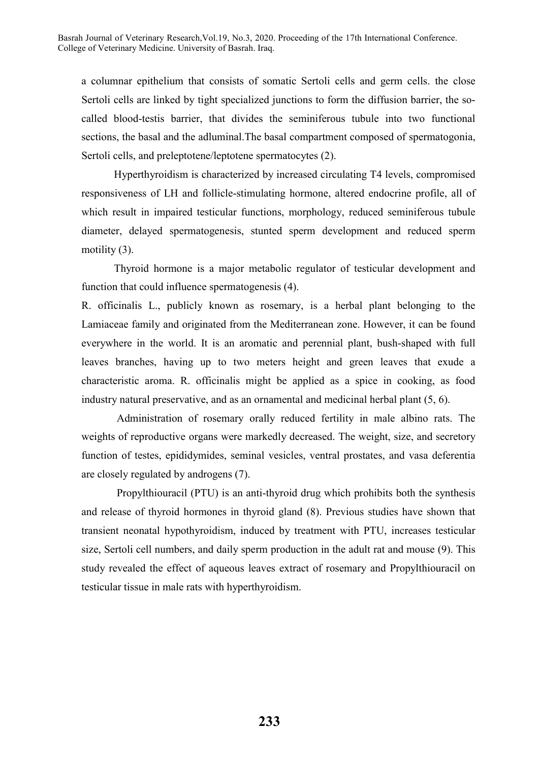a columnar epithelium that consists of somatic Sertoli cells and germ cells. the close Sertoli cells are linked by tight specialized junctions to form the diffusion barrier, the socalled blood-testis barrier, that divides the seminiferous tubule into two functional sections, the basal and the adluminal.The basal compartment composed of spermatogonia, Sertoli cells, and preleptotene/leptotene spermatocytes (2).

Hyperthyroidism is characterized by increased circulating T4 levels, compromised responsiveness of LH and follicle-stimulating hormone, altered endocrine profile, all of which result in impaired testicular functions, morphology, reduced seminiferous tubule diameter, delayed spermatogenesis, stunted sperm development and reduced sperm motility (3).

Thyroid hormone is a major metabolic regulator of testicular development and function that could influence spermatogenesis (4).

R. officinalis L., publicly known as rosemary, is a herbal plant belonging to the Lamiaceae family and originated from the Mediterranean zone. However, it can be found everywhere in the world. It is an aromatic and perennial plant, bush-shaped with full leaves branches, having up to two meters height and green leaves that exude a characteristic aroma. R. officinalis might be applied as a spice in cooking, as food industry natural preservative, and as an ornamental and medicinal herbal plant (5, 6).

Administration of rosemary orally reduced fertility in male albino rats. The weights of reproductive organs were markedly decreased. The weight, size, and secretory function of testes, epididymides, seminal vesicles, ventral prostates, and vasa deferentia are closely regulated by androgens (7).

Propylthiouracil (PTU) is an anti-thyroid drug which prohibits both the synthesis and release of thyroid hormones in thyroid gland (8). Previous studies have shown that transient neonatal hypothyroidism, induced by treatment with PTU, increases testicular size, Sertoli cell numbers, and daily sperm production in the adult rat and mouse (9). This study revealed the effect of aqueous leaves extract of rosemary and Propylthiouracil on testicular tissue in male rats with hyperthyroidism.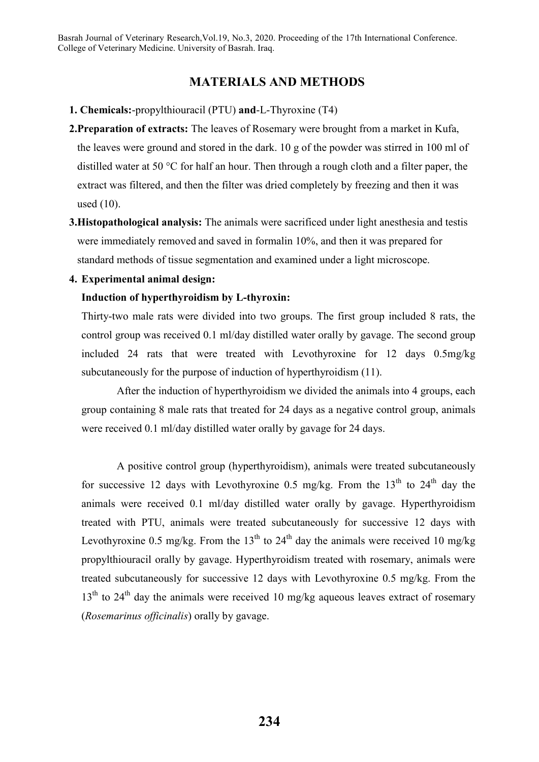# **MATERIALS AND METHODS**

- **1. Chemicals:**-propylthiouracil (PTU) **and**-L-Thyroxine (T4)
- **2.Preparation of extracts:** The leaves of Rosemary were brought from a market in Kufa, the leaves were ground and stored in the dark. 10 g of the powder was stirred in 100 ml of distilled water at 50 °C for half an hour. Then through a rough cloth and a filter paper, the extract was filtered, and then the filter was dried completely by freezing and then it was used (10).
- **3.Histopathological analysis:** The animals were sacrificed under light anesthesia and testis were immediately removed and saved in formalin 10%, and then it was prepared for standard methods of tissue segmentation and examined under a light microscope.
- **4. Experimental animal design:**

# **Induction of hyperthyroidism by L-thyroxin:**

Thirty-two male rats were divided into two groups. The first group included 8 rats, the control group was received 0.1 ml/day distilled water orally by gavage. The second group included 24 rats that were treated with Levothyroxine for 12 days 0.5mg/kg subcutaneously for the purpose of induction of hyperthyroidism (11).

After the induction of hyperthyroidism we divided the animals into 4 groups, each group containing 8 male rats that treated for 24 days as a negative control group, animals were received 0.1 ml/day distilled water orally by gavage for 24 days.

A positive control group (hyperthyroidism), animals were treated subcutaneously for successive 12 days with Levothyroxine 0.5 mg/kg. From the  $13<sup>th</sup>$  to  $24<sup>th</sup>$  day the animals were received 0.1 ml/day distilled water orally by gavage. Hyperthyroidism treated with PTU, animals were treated subcutaneously for successive 12 days with Levothyroxine 0.5 mg/kg. From the 13<sup>th</sup> to 24<sup>th</sup> day the animals were received 10 mg/kg propylthiouracil orally by gavage. Hyperthyroidism treated with rosemary, animals were treated subcutaneously for successive 12 days with Levothyroxine 0.5 mg/kg. From the  $13<sup>th</sup>$  to  $24<sup>th</sup>$  day the animals were received 10 mg/kg aqueous leaves extract of rosemary (*Rosemarinus officinalis*) orally by gavage.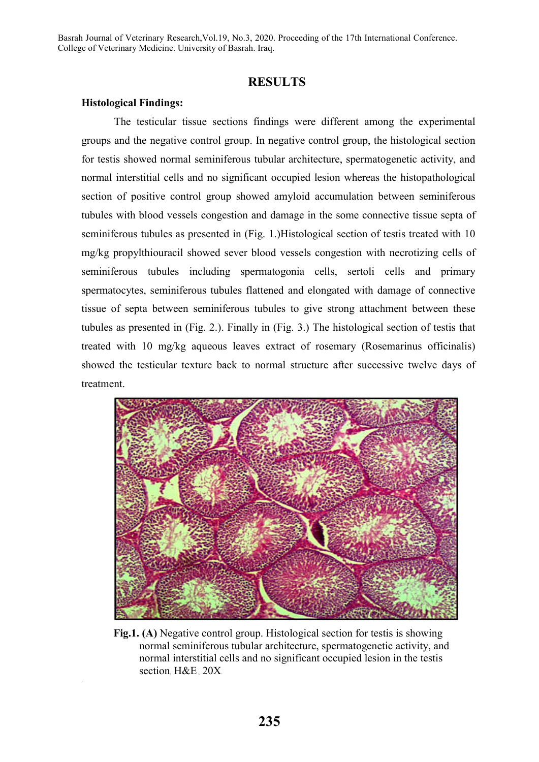## **RESULTS**

#### **Histological Findings:**

.

The testicular tissue sections findings were different among the experimental groups and the negative control group. In negative control group, the histological section for testis showed normal seminiferous tubular architecture, spermatogenetic activity, and normal interstitial cells and no significant occupied lesion whereas the histopathological section of positive control group showed amyloid accumulation between seminiferous tubules with blood vessels congestion and damage in the some connective tissue septa of seminiferous tubules as presented in (Fig. 1.)Histological section of testis treated with 10 mg/kg propylthiouracil showed sever blood vessels congestion with necrotizing cells of seminiferous tubules including spermatogonia cells, sertoli cells and primary spermatocytes, seminiferous tubules flattened and elongated with damage of connective tissue of septa between seminiferous tubules to give strong attachment between these tubules as presented in (Fig. 2.). Finally in (Fig. 3.) The histological section of testis that treated with 10 mg/kg aqueous leaves extract of rosemary (Rosemarinus officinalis) showed the testicular texture back to normal structure after successive twelve days of treatment.



**Fig.1. (A)** Negative control group. Histological section for testis is showing normal seminiferous tubular architecture, spermatogenetic activity, and normal interstitial cells and no significant occupied lesion in the testis section, H&E, 20X.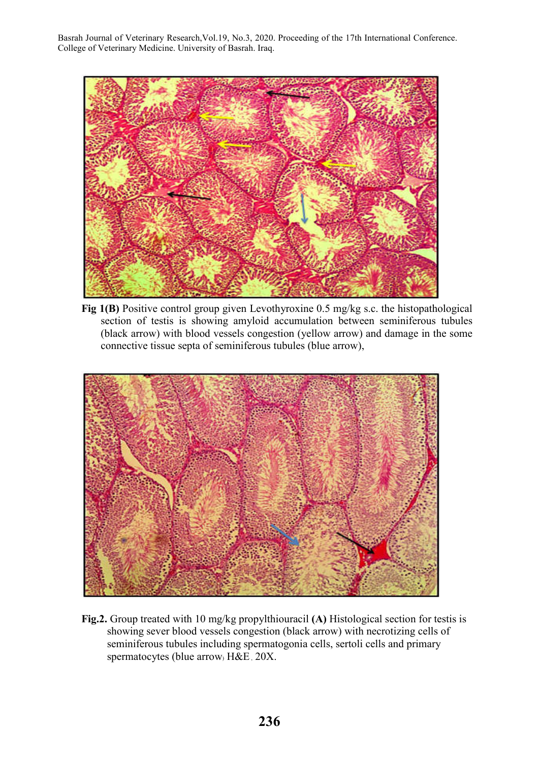

**Fig 1(B)** Positive control group given Levothyroxine 0.5 mg/kg s.c. the histopathological section of testis is showing amyloid accumulation between seminiferous tubules (black arrow) with blood vessels congestion (yellow arrow) and damage in the some connective tissue septa of seminiferous tubules (blue arrow),



**Fig.2.** Group treated with 10 mg/kg propylthiouracil **(A)** Histological section for testis is showing sever blood vessels congestion (black arrow) with necrotizing cells of seminiferous tubules including spermatogonia cells, sertoli cells and primary spermatocytes (blue arrow) H&E, 20X.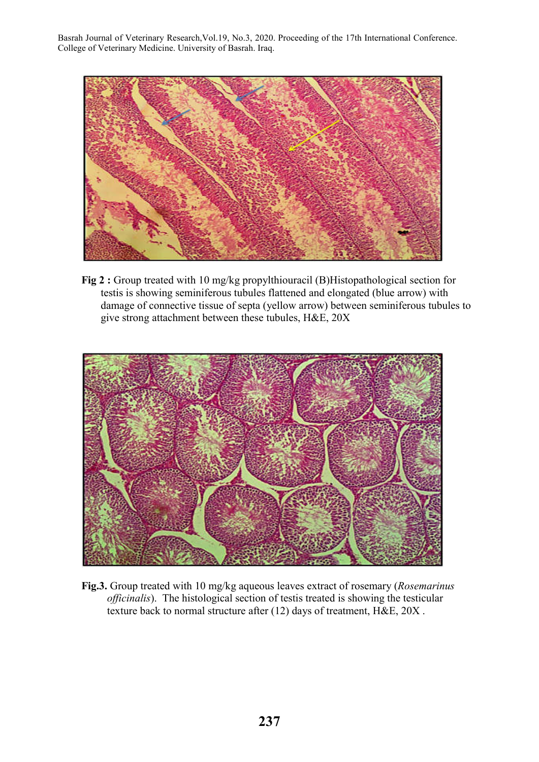

**Fig 2 :** Group treated with 10 mg/kg propylthiouracil (B)Histopathological section for testis is showing seminiferous tubules flattened and elongated (blue arrow) with damage of connective tissue of septa (yellow arrow) between seminiferous tubules to give strong attachment between these tubules, H&E, 20X



**Fig.3.** Group treated with 10 mg/kg aqueous leaves extract of rosemary (*Rosemarinus officinalis*). The histological section of testis treated is showing the testicular texture back to normal structure after (12) days of treatment, H&E, 20X .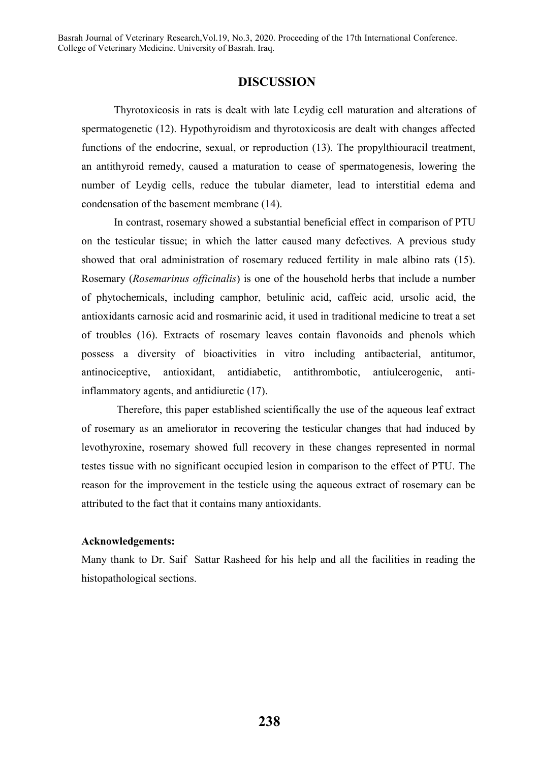## **DISCUSSION**

Thyrotoxicosis in rats is dealt with late Leydig cell maturation and alterations of spermatogenetic (12). Hypothyroidism and thyrotoxicosis are dealt with changes affected functions of the endocrine, sexual, or reproduction (13). The propylthiouracil treatment, an antithyroid remedy, caused a maturation to cease of spermatogenesis, lowering the number of Leydig cells, reduce the tubular diameter, lead to interstitial edema and condensation of the basement membrane (14).

In contrast, rosemary showed a substantial beneficial effect in comparison of PTU on the testicular tissue; in which the latter caused many defectives. A previous study showed that oral administration of rosemary reduced fertility in male albino rats (15). Rosemary (*Rosemarinus officinalis*) is one of the household herbs that include a number of phytochemicals, including camphor, betulinic acid, caffeic acid, ursolic acid, the antioxidants carnosic acid and rosmarinic acid, it used in traditional medicine to treat a set of troubles (16). Extracts of rosemary leaves contain flavonoids and phenols which possess a diversity of bioactivities in vitro including antibacterial, antitumor, antinociceptive, antioxidant, antidiabetic, antithrombotic, antiulcerogenic, antiinflammatory agents, and antidiuretic (17).

Therefore, this paper established scientifically the use of the aqueous leaf extract of rosemary as an ameliorator in recovering the testicular changes that had induced by levothyroxine, rosemary showed full recovery in these changes represented in normal testes tissue with no significant occupied lesion in comparison to the effect of PTU. The reason for the improvement in the testicle using the aqueous extract of rosemary can be attributed to the fact that it contains many antioxidants.

#### **Acknowledgements:**

Many thank to Dr. Saif Sattar Rasheed for his help and all the facilities in reading the histopathological sections.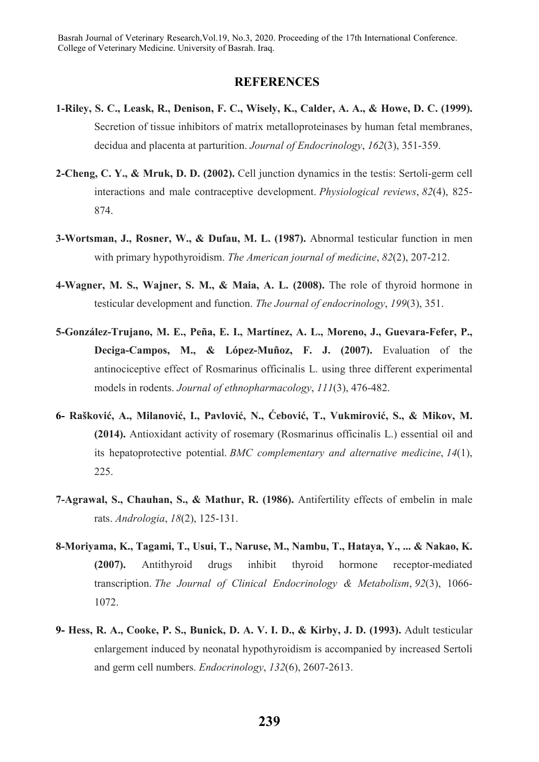#### **REFERENCES**

- **1-Riley, S. C., Leask, R., Denison, F. C., Wisely, K., Calder, A. A., & Howe, D. C. (1999).**  Secretion of tissue inhibitors of matrix metalloproteinases by human fetal membranes, decidua and placenta at parturition. *Journal of Endocrinology*, *162*(3), 351-359.
- **2-Cheng, C. Y., & Mruk, D. D. (2002).** Cell junction dynamics in the testis: Sertoli-germ cell interactions and male contraceptive development. *Physiological reviews*, *82*(4), 825- 874.
- **3-Wortsman, J., Rosner, W., & Dufau, M. L. (1987).** Abnormal testicular function in men with primary hypothyroidism. *The American journal of medicine*, *82*(2), 207-212.
- **4-Wagner, M. S., Wajner, S. M., & Maia, A. L. (2008).** The role of thyroid hormone in testicular development and function. *The Journal of endocrinology*, *199*(3), 351.
- **5-González-Trujano, M. E., Peña, E. I., Martínez, A. L., Moreno, J., Guevara-Fefer, P., Deciga-Campos, M., & López-Muñoz, F. J. (2007).** Evaluation of the antinociceptive effect of Rosmarinus officinalis L. using three different experimental models in rodents. *Journal of ethnopharmacology*, *111*(3), 476-482.
- **6- Rašković, A., Milanović, I., Pavlović, N., Ćebović, T., Vukmirović, S., & Mikov, M. (2014).** Antioxidant activity of rosemary (Rosmarinus officinalis L.) essential oil and its hepatoprotective potential. *BMC complementary and alternative medicine*, *14*(1), 225.
- **7-Agrawal, S., Chauhan, S., & Mathur, R. (1986).** Antifertility effects of embelin in male rats. *Andrologia*, *18*(2), 125-131.
- **8-Moriyama, K., Tagami, T., Usui, T., Naruse, M., Nambu, T., Hataya, Y., ... & Nakao, K. (2007).** Antithyroid drugs inhibit thyroid hormone receptor-mediated transcription. *The Journal of Clinical Endocrinology & Metabolism*, *92*(3), 1066- 1072.
- **9- Hess, R. A., Cooke, P. S., Bunick, D. A. V. I. D., & Kirby, J. D. (1993).** Adult testicular enlargement induced by neonatal hypothyroidism is accompanied by increased Sertoli and germ cell numbers. *Endocrinology*, *132*(6), 2607-2613.